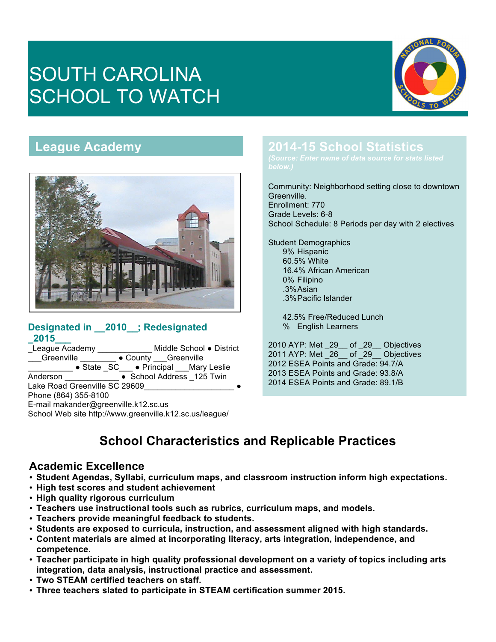# SOUTH CAROLINA SCHOOL TO WATCH



# **League Academy**



#### **Designated in \_\_2010\_\_; Redesignated \_2015\_\_\_**

League Academy \_\_\_\_\_\_\_\_\_\_\_\_\_ Middle School . District **Exaggle Academy**<br>
Greenville <u>● County Greenville</u> \_\_\_\_\_\_\_\_\_\_ ● State \_SC\_\_\_ ● Principal \_\_\_Mary Leslie Anderson <br>
• School Address 125 Twin Lake Road Greenville SC 29609 Phone (864) 355-8100 E-mail makander@greenville.k12.sc.us School Web site http://www.greenville.k12.sc.us/league/

# **2014-15 School Statistics**

Community: Neighborhood setting close to downtown Greenville. Enrollment: 770

Grade Levels: 6-8 School Schedule: 8 Periods per day with 2 electives

Student Demographics 9% Hispanic 60.5% White 16.4% African American 0% Filipino .3%Asian .3%Pacific Islander

> 42.5% Free/Reduced Lunch % English Learners

2010 AYP: Met \_29\_\_ of \_29\_\_ Objectives 2011 AYP: Met 26 of 29 Objectives 2012 ESEA Points and Grade: 94.7/A 2013 ESEA Points and Grade: 93.8/A 2014 ESEA Points and Grade: 89.1/B

# **School Characteristics and Replicable Practices**

#### **Academic Excellence**

- **Student Agendas, Syllabi, curriculum maps, and classroom instruction inform high expectations.**
- **High test scores and student achievement**
- **High quality rigorous curriculum**
- **Teachers use instructional tools such as rubrics, curriculum maps, and models.**
- **Teachers provide meaningful feedback to students.**
- **Students are exposed to curricula, instruction, and assessment aligned with high standards.**
- **Content materials are aimed at incorporating literacy, arts integration, independence, and competence.**
- **Teacher participate in high quality professional development on a variety of topics including arts integration, data analysis, instructional practice and assessment.**
- **Two STEAM certified teachers on staff.**
- **Three teachers slated to participate in STEAM certification summer 2015.**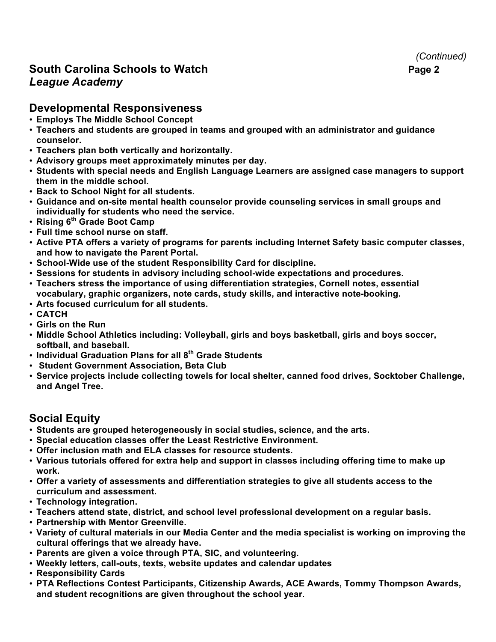# **South Carolina Schools to Watch <b>Page 2 Page 2** *League Academy*

#### **Developmental Responsiveness**

- **Employs The Middle School Concept**
- **Teachers and students are grouped in teams and grouped with an administrator and guidance counselor.**
- **Teachers plan both vertically and horizontally.**
- **Advisory groups meet approximately minutes per day.**
- **Students with special needs and English Language Learners are assigned case managers to support them in the middle school.**
- **Back to School Night for all students.**
- **Guidance and on-site mental health counselor provide counseling services in small groups and individually for students who need the service.**
- **Rising 6th Grade Boot Camp**
- **Full time school nurse on staff.**
- **Active PTA offers a variety of programs for parents including Internet Safety basic computer classes, and how to navigate the Parent Portal.**
- **School-Wide use of the student Responsibility Card for discipline.**
- **Sessions for students in advisory including school-wide expectations and procedures.**
- **Teachers stress the importance of using differentiation strategies, Cornell notes, essential vocabulary, graphic organizers, note cards, study skills, and interactive note-booking.**
- **Arts focused curriculum for all students.**
- **CATCH**
- **Girls on the Run**
- **Middle School Athletics including: Volleyball, girls and boys basketball, girls and boys soccer, softball, and baseball.**
- **Individual Graduation Plans for all 8th Grade Students**
- **Student Government Association, Beta Club**
- **Service projects include collecting towels for local shelter, canned food drives, Socktober Challenge, and Angel Tree.**

## **Social Equity**

- **Students are grouped heterogeneously in social studies, science, and the arts.**
- **Special education classes offer the Least Restrictive Environment.**
- **Offer inclusion math and ELA classes for resource students.**
- **Various tutorials offered for extra help and support in classes including offering time to make up work.**
- **Offer a variety of assessments and differentiation strategies to give all students access to the curriculum and assessment.**
- **Technology integration.**
- **Teachers attend state, district, and school level professional development on a regular basis.**
- **Partnership with Mentor Greenville.**
- **Variety of cultural materials in our Media Center and the media specialist is working on improving the cultural offerings that we already have.**
- **Parents are given a voice through PTA, SIC, and volunteering.**
- **Weekly letters, call-outs, texts, website updates and calendar updates**
- **Responsibility Cards**
- **PTA Reflections Contest Participants, Citizenship Awards, ACE Awards, Tommy Thompson Awards, and student recognitions are given throughout the school year.**